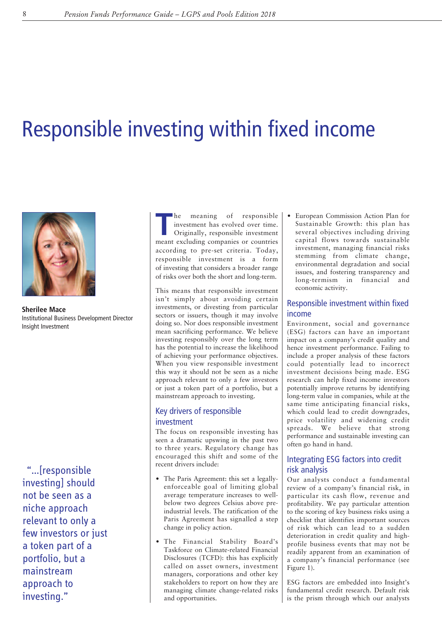# Responsible investing within fixed income



**Sherilee Mace** Institutional Business Development Director Insight Investment

"…[responsible investing] should not be seen as a niche approach relevant to only a few investors or just a token part of a portfolio, but a mainstream approach to investing."

**The meaning of responsible**<br>
investment has evolved over time.<br>
Originally, responsible investment<br>
meant evoluding a sountries investment has evolved over time. meant excluding companies or countries according to pre-set criteria. Today, responsible investment is a form of investing that considers a broader range of risks over both the short and long-term.

This means that responsible investment isn't simply about avoiding certain investments, or divesting from particular sectors or issuers, though it may involve doing so. Nor does responsible investment mean sacrificing performance. We believe investing responsibly over the long term has the potential to increase the likelihood of achieving your performance objectives. When you view responsible investment this way it should not be seen as a niche approach relevant to only a few investors or just a token part of a portfolio, but a mainstream approach to investing.

# Key drivers of responsible investment

The focus on responsible investing has seen a dramatic upswing in the past two to three years. Regulatory change has encouraged this shift and some of the recent drivers include:

- The Paris Agreement: this set a legallyenforceable goal of limiting global average temperature increases to wellbelow two degrees Celsius above preindustrial levels. The ratification of the Paris Agreement has signalled a step change in policy action.
- The Financial Stability Board's Taskforce on Climate-related Financial Disclosures (TCFD): this has explicitly called on asset owners, investment managers, corporations and other key stakeholders to report on how they are managing climate change-related risks and opportunities.

• European Commission Action Plan for Sustainable Growth: this plan has several objectives including driving capital flows towards sustainable investment, managing financial risks stemming from climate change, environmental degradation and social issues, and fostering transparency and long-termism in financial and economic activity.

# Responsible investment within fixed income

Environment, social and governance (ESG) factors can have an important impact on a company's credit quality and hence investment performance. Failing to include a proper analysis of these factors could potentially lead to incorrect investment decisions being made. ESG research can help fixed income investors potentially improve returns by identifying long-term value in companies, while at the same time anticipating financial risks, which could lead to credit downgrades, price volatility and widening credit spreads. We believe that strong performance and sustainable investing can often go hand in hand.

# Integrating ESG factors into credit risk analysis

Our analysts conduct a fundamental review of a company's financial risk, in particular its cash flow, revenue and profitability. We pay particular attention to the scoring of key business risks using a checklist that identifies important sources of risk which can lead to a sudden deterioration in credit quality and highprofile business events that may not be readily apparent from an examination of a company's financial performance (see Figure 1).

ESG factors are embedded into Insight's fundamental credit research. Default risk is the prism through which our analysts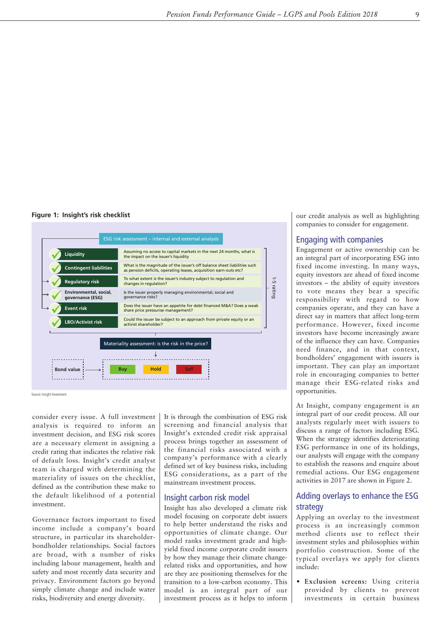# **Figure 1: Insight's risk checklist**



Source: Insight Investment

consider every issue. A full investment analysis is required to inform an investment decision, and ESG risk scores are a necessary element in assigning a credit rating that indicates the relative risk of default loss. Insight's credit analyst team is charged with determining the materiality of issues on the checklist, defined as the contribution these make to the default likelihood of a potential investment.

Governance factors important to fixed income include a company's board structure, in particular its shareholderbondholder relationships. Social factors are broad, with a number of risks including labour management, health and safety and most recently data security and privacy. Environment factors go beyond simply climate change and include water risks, biodiversity and energy diversity.

It is through the combination of ESG risk screening and financial analysis that Insight's extended credit risk appraisal process brings together an assessment of the financial risks associated with a company's performance with a clearly defined set of key business risks, including ESG considerations, as a part of the mainstream investment process.

## Insight carbon risk model

Insight has also developed a climate risk model focusing on corporate debt issuers to help better understand the risks and opportunities of climate change. Our model ranks investment grade and highyield fixed income corporate credit issuers by how they manage their climate changerelated risks and opportunities, and how are they are positioning themselves for the transition to a low-carbon economy. This model is an integral part of our investment process as it helps to inform our credit analysis as well as highlighting companies to consider for engagement.

# Engaging with companies

Engagement or active ownership can be an integral part of incorporating ESG into fixed income investing. In many ways, equity investors are ahead of fixed income investors – the ability of equity investors to vote means they bear a specific responsibility with regard to how companies operate, and they can have a direct say in matters that affect long-term performance. However, fixed income investors have become increasingly aware of the influence they can have. Companies need finance, and in that context, bondholders' engagement with issuers is important. They can play an important role in encouraging companies to better manage their ESG-related risks and opportunities.

At Insight, company engagement is an integral part of our credit process. All our analysts regularly meet with issuers to discuss a range of factors including ESG. When the strategy identifies deteriorating ESG performance in one of its holdings, our analysts will engage with the company to establish the reasons and enquire about remedial actions. Our ESG engagement activities in 2017 are shown in Figure 2.

# Adding overlays to enhance the ESG strategy

Applying an overlay to the investment process is an increasingly common method clients use to reflect their investment styles and philosophies within portfolio construction. Some of the typical overlays we apply for clients include:

• **Exclusion screens:** Using criteria provided by clients to prevent investments in certain business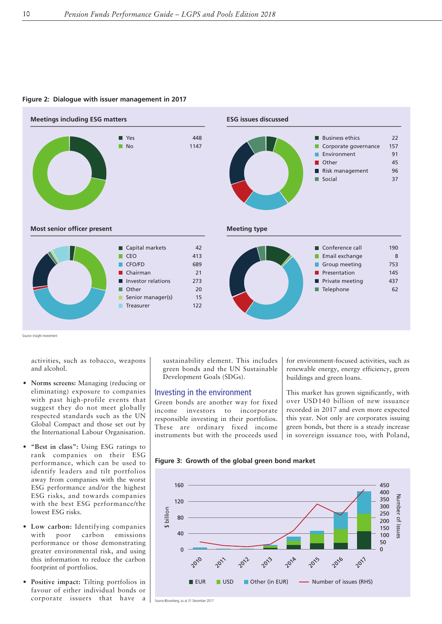

#### **Figure 2: Dialogue with issuer management in 2017**

Source: Insight Investment

activities, such as tobacco, weapons and alcohol.

- **Norms screens:** Managing (reducing or eliminating) exposure to companies with past high-profile events that suggest they do not meet globally respected standards such as the UN Global Compact and those set out by the International Labour Organisation.
- **"Best in class":** Using ESG ratings to rank companies on their ESG performance, which can be used to identify leaders and tilt portfolios away from companies with the worst ESG performance and/or the highest ESG risks, and towards companies with the best ESG performance/the lowest ESG risks.
- **Low carbon:** Identifying companies with poor carbon emissions performance or those demonstrating greater environmental risk, and using this information to reduce the carbon footprint of portfolios.
- **Positive impact:** Tilting portfolios in favour of either individual bonds or corporate issuers that have a

sustainability element. This includes green bonds and the UN Sustainable Development Goals (SDGs).

## Investing in the environment

Green bonds are another way for fixed income investors to incorporate responsible investing in their portfolios. These are ordinary fixed income instruments but with the proceeds used

for environment-focused activities, such as renewable energy, energy efficiency, green buildings and green loans.

This market has grown significantly, with over USD140 billion of new issuance recorded in 2017 and even more expected this year. Not only are corporates issuing green bonds, but there is a steady increase in sovereign issuance too, with Poland,

**Figure 3: Growth of the global green bond market**



Source:Bloomberg, as at 31 December 2017